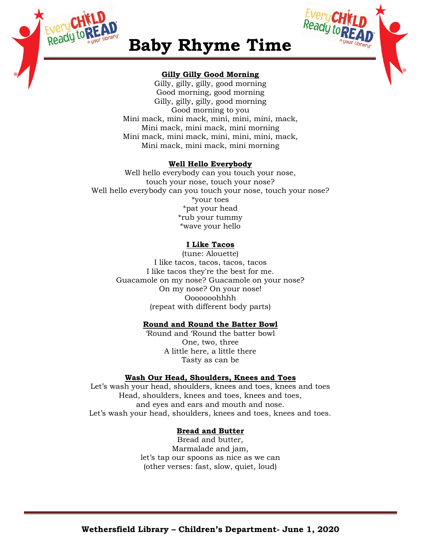



# **Baby Rhyme Time**

## **Gilly Gilly Good Morning**

Gilly, gilly, gilly, good morning Good morning, good morning Gilly, gilly, gilly, good morning Good morning to you Mini mack, mini mack, mini, mini, mini, mack, Mini mack, mini mack, mini morning Mini mack, mini mack, mini, mini, mini, mack, Mini mack, mini mack, mini morning

## **Well Hello Everybody**

Well hello everybody can you touch your nose, touch your nose, touch your nose? Well hello everybody can you touch your nose, touch your nose? \*your toes \*pat your head \*rub your tummy \*wave your hello

## **I Like Tacos**

(tune: Alouette) I like tacos, tacos, tacos, tacos I like tacos they're the best for me. Guacamole on my nose? Guacamole on your nose? On my nose? On your nose! Ooooooohhhh (repeat with different body parts)

## **Round and Round the Batter Bowl**

'Round and 'Round the batter bowl One, two, three A little here, a little there Tasty as can be

## **Wash Our Head, Shoulders, Knees and Toes**

Let's wash your head, shoulders, knees and toes, knees and toes Head, shoulders, knees and toes, knees and toes, and eyes and ears and mouth and nose. Let's wash your head, shoulders, knees and toes, knees and toes.

## **Bread and Butter**

Bread and butter, Marmalade and jam, let's tap our spoons as nice as we can (other verses: fast, slow, quiet, loud)